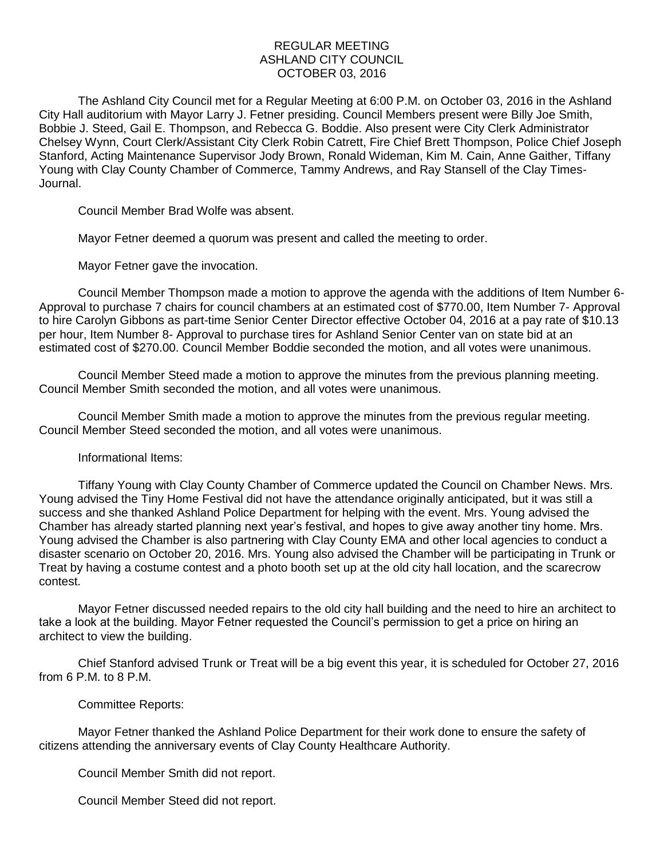## REGULAR MEETING ASHLAND CITY COUNCIL OCTOBER 03, 2016

The Ashland City Council met for a Regular Meeting at 6:00 P.M. on October 03, 2016 in the Ashland City Hall auditorium with Mayor Larry J. Fetner presiding. Council Members present were Billy Joe Smith, Bobbie J. Steed, Gail E. Thompson, and Rebecca G. Boddie. Also present were City Clerk Administrator Chelsey Wynn, Court Clerk/Assistant City Clerk Robin Catrett, Fire Chief Brett Thompson, Police Chief Joseph Stanford, Acting Maintenance Supervisor Jody Brown, Ronald Wideman, Kim M. Cain, Anne Gaither, Tiffany Young with Clay County Chamber of Commerce, Tammy Andrews, and Ray Stansell of the Clay Times-Journal.

Council Member Brad Wolfe was absent.

Mayor Fetner deemed a quorum was present and called the meeting to order.

Mayor Fetner gave the invocation.

Council Member Thompson made a motion to approve the agenda with the additions of Item Number 6- Approval to purchase 7 chairs for council chambers at an estimated cost of \$770.00, Item Number 7- Approval to hire Carolyn Gibbons as part-time Senior Center Director effective October 04, 2016 at a pay rate of \$10.13 per hour, Item Number 8- Approval to purchase tires for Ashland Senior Center van on state bid at an estimated cost of \$270.00. Council Member Boddie seconded the motion, and all votes were unanimous.

Council Member Steed made a motion to approve the minutes from the previous planning meeting. Council Member Smith seconded the motion, and all votes were unanimous.

Council Member Smith made a motion to approve the minutes from the previous regular meeting. Council Member Steed seconded the motion, and all votes were unanimous.

## Informational Items:

Tiffany Young with Clay County Chamber of Commerce updated the Council on Chamber News. Mrs. Young advised the Tiny Home Festival did not have the attendance originally anticipated, but it was still a success and she thanked Ashland Police Department for helping with the event. Mrs. Young advised the Chamber has already started planning next year's festival, and hopes to give away another tiny home. Mrs. Young advised the Chamber is also partnering with Clay County EMA and other local agencies to conduct a disaster scenario on October 20, 2016. Mrs. Young also advised the Chamber will be participating in Trunk or Treat by having a costume contest and a photo booth set up at the old city hall location, and the scarecrow contest.

Mayor Fetner discussed needed repairs to the old city hall building and the need to hire an architect to take a look at the building. Mayor Fetner requested the Council's permission to get a price on hiring an architect to view the building.

Chief Stanford advised Trunk or Treat will be a big event this year, it is scheduled for October 27, 2016 from 6 P.M. to 8 P.M.

## Committee Reports:

Mayor Fetner thanked the Ashland Police Department for their work done to ensure the safety of citizens attending the anniversary events of Clay County Healthcare Authority.

Council Member Smith did not report.

Council Member Steed did not report.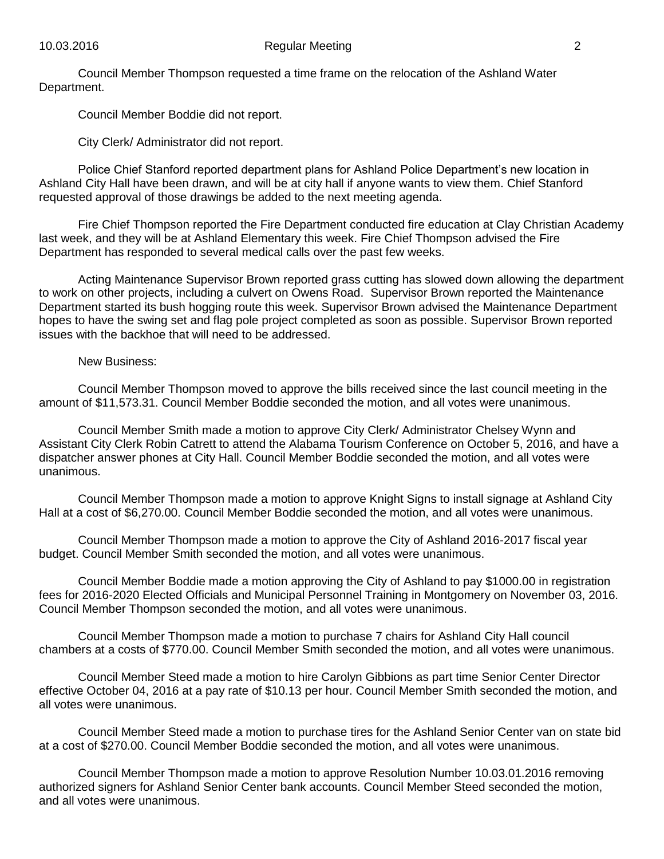Council Member Thompson requested a time frame on the relocation of the Ashland Water Department.

Council Member Boddie did not report.

City Clerk/ Administrator did not report.

Police Chief Stanford reported department plans for Ashland Police Department's new location in Ashland City Hall have been drawn, and will be at city hall if anyone wants to view them. Chief Stanford requested approval of those drawings be added to the next meeting agenda.

Fire Chief Thompson reported the Fire Department conducted fire education at Clay Christian Academy last week, and they will be at Ashland Elementary this week. Fire Chief Thompson advised the Fire Department has responded to several medical calls over the past few weeks.

Acting Maintenance Supervisor Brown reported grass cutting has slowed down allowing the department to work on other projects, including a culvert on Owens Road. Supervisor Brown reported the Maintenance Department started its bush hogging route this week. Supervisor Brown advised the Maintenance Department hopes to have the swing set and flag pole project completed as soon as possible. Supervisor Brown reported issues with the backhoe that will need to be addressed.

## New Business:

Council Member Thompson moved to approve the bills received since the last council meeting in the amount of \$11,573.31. Council Member Boddie seconded the motion, and all votes were unanimous.

Council Member Smith made a motion to approve City Clerk/ Administrator Chelsey Wynn and Assistant City Clerk Robin Catrett to attend the Alabama Tourism Conference on October 5, 2016, and have a dispatcher answer phones at City Hall. Council Member Boddie seconded the motion, and all votes were unanimous.

Council Member Thompson made a motion to approve Knight Signs to install signage at Ashland City Hall at a cost of \$6,270.00. Council Member Boddie seconded the motion, and all votes were unanimous.

Council Member Thompson made a motion to approve the City of Ashland 2016-2017 fiscal year budget. Council Member Smith seconded the motion, and all votes were unanimous.

Council Member Boddie made a motion approving the City of Ashland to pay \$1000.00 in registration fees for 2016-2020 Elected Officials and Municipal Personnel Training in Montgomery on November 03, 2016. Council Member Thompson seconded the motion, and all votes were unanimous.

Council Member Thompson made a motion to purchase 7 chairs for Ashland City Hall council chambers at a costs of \$770.00. Council Member Smith seconded the motion, and all votes were unanimous.

Council Member Steed made a motion to hire Carolyn Gibbions as part time Senior Center Director effective October 04, 2016 at a pay rate of \$10.13 per hour. Council Member Smith seconded the motion, and all votes were unanimous.

Council Member Steed made a motion to purchase tires for the Ashland Senior Center van on state bid at a cost of \$270.00. Council Member Boddie seconded the motion, and all votes were unanimous.

Council Member Thompson made a motion to approve Resolution Number 10.03.01.2016 removing authorized signers for Ashland Senior Center bank accounts. Council Member Steed seconded the motion, and all votes were unanimous.